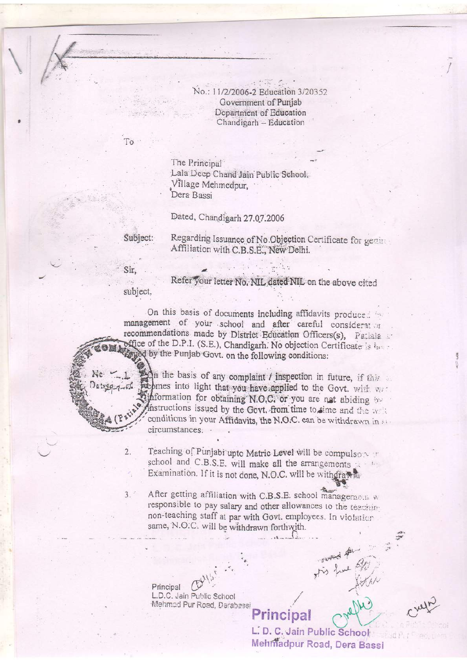No.: 11/2/2006-2 Education 3/20352 Government of Punjab Department of Education Chandigarh - Education

To

The Principal Lala Deep Chand Jain Public School, Village Mehmedpur, Dera Bassi

Dated, Chandigarh 27.07.2006

Subject:

Regarding Issuance of No Objection Certificate for genine Affiliation with C.B.S.E., New Delhi.

Sir.

Ne L

 $\overline{2}$ .

subject.

Refer your letter No. NIL dated NIL on the above cited

On this basis of documents including affidavits produced in management of your school and after careful considerator recommendations made by District Education Officers(s), Patiala office of the D.P.I. (S.E.), Chandigarh. No objection Certificate is here **Keyed** by the Punjab Govt. on the following conditions:

Legn the basis of any complaint *l* inspection in future, if this propmes into light that you have applied to the Govt. with war  $30199 - 7 - 56$ approximation for obtaining N.O.C. or you are not abiding to Anstructions issued by the Govt. from time to time and the write conditions in your Affidavits, the N.O.C. can be withdrawn in st circumstances.

> Teaching of Punjabi upto Matric Level will be compulsored school and C.B.S.E. will make all the arrangements Examination. If it is not done, N.O.C. will be withdrawn.

After getting affiliation with C.B.S.E. school management w  $3.7$ responsible to pay salary and other allowances to the teachinnon-teaching staff at par with Govt. employees. In violation same, N.O.C. will be withdrawn forthwith.

> Principal L.D.C. Jain Public School Mehmed Pur Road, Derabassi

> > L. D. C. Jain Public School Mehmadpur Road, Dera Bassi

Principal